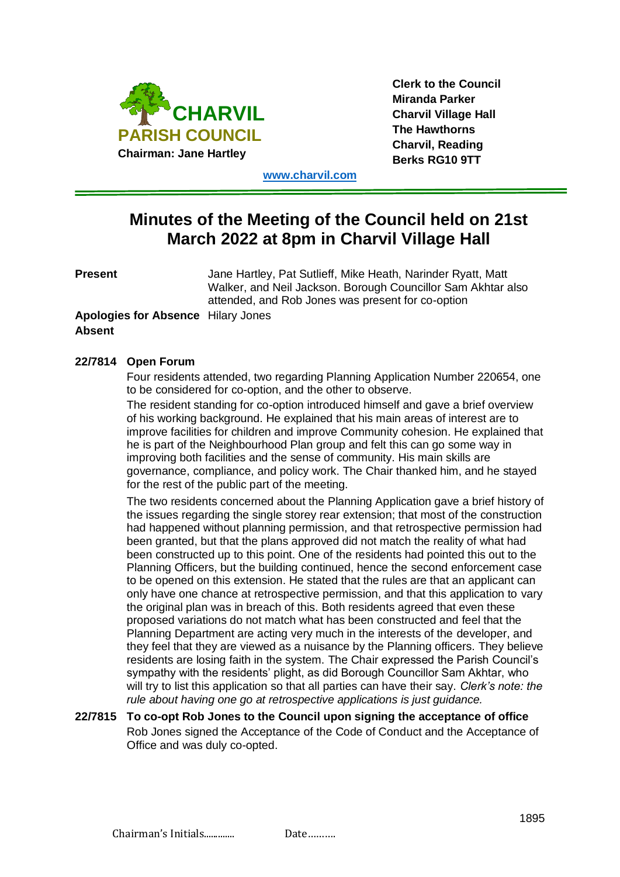

**Clerk to the Council Miranda Parker Charvil Village Hall The Hawthorns Charvil, Reading Berks RG10 9TT**

**[www.charvil.com](http://www.charvil.com/)**

# **Minutes of the Meeting of the Council held on 21st March 2022 at 8pm in Charvil Village Hall**

**Present** Jane Hartley, Pat Sutlieff, Mike Heath, Narinder Ryatt, Matt Walker, and Neil Jackson. Borough Councillor Sam Akhtar also attended, and Rob Jones was present for co-option

## **Apologies for Absence** Hilary Jones **Absent**

## **22/7814 Open Forum**

Four residents attended, two regarding Planning Application Number 220654, one to be considered for co-option, and the other to observe.

The resident standing for co-option introduced himself and gave a brief overview of his working background. He explained that his main areas of interest are to improve facilities for children and improve Community cohesion. He explained that he is part of the Neighbourhood Plan group and felt this can go some way in improving both facilities and the sense of community. His main skills are governance, compliance, and policy work. The Chair thanked him, and he stayed for the rest of the public part of the meeting.

The two residents concerned about the Planning Application gave a brief history of the issues regarding the single storey rear extension; that most of the construction had happened without planning permission, and that retrospective permission had been granted, but that the plans approved did not match the reality of what had been constructed up to this point. One of the residents had pointed this out to the Planning Officers, but the building continued, hence the second enforcement case to be opened on this extension. He stated that the rules are that an applicant can only have one chance at retrospective permission, and that this application to vary the original plan was in breach of this. Both residents agreed that even these proposed variations do not match what has been constructed and feel that the Planning Department are acting very much in the interests of the developer, and they feel that they are viewed as a nuisance by the Planning officers. They believe residents are losing faith in the system. The Chair expressed the Parish Council's sympathy with the residents' plight, as did Borough Councillor Sam Akhtar, who will try to list this application so that all parties can have their say. *Clerk's note: the rule about having one go at retrospective applications is just guidance.*

#### **22/7815 To co-opt Rob Jones to the Council upon signing the acceptance of office** Rob Jones signed the Acceptance of the Code of Conduct and the Acceptance of Office and was duly co-opted.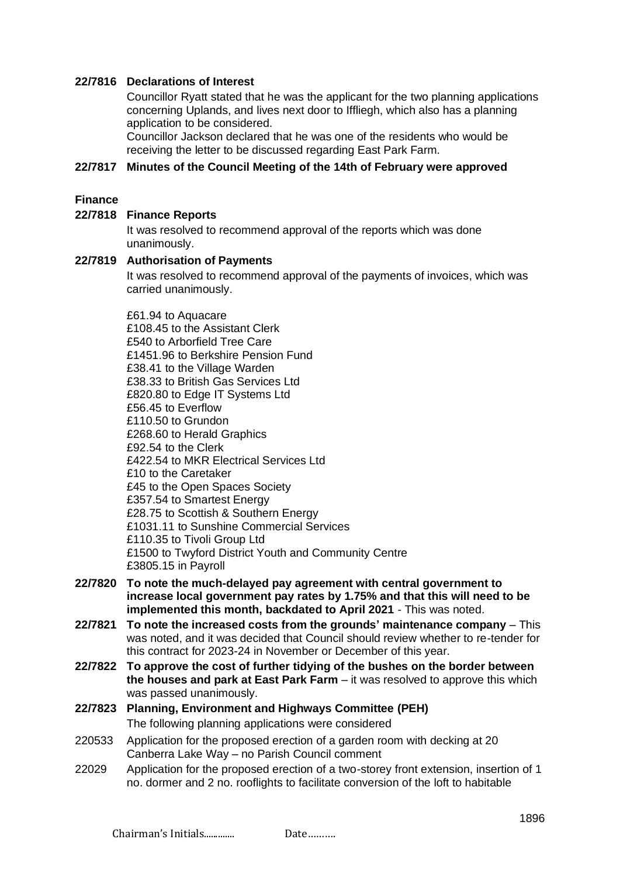## **22/7816 Declarations of Interest**

Councillor Ryatt stated that he was the applicant for the two planning applications concerning Uplands, and lives next door to Iffliegh, which also has a planning application to be considered.

Councillor Jackson declared that he was one of the residents who would be receiving the letter to be discussed regarding East Park Farm.

#### **22/7817 Minutes of the Council Meeting of the 14th of February were approved**

#### **Finance**

#### **22/7818 Finance Reports**

It was resolved to recommend approval of the reports which was done unanimously.

#### **22/7819 Authorisation of Payments**

It was resolved to recommend approval of the payments of invoices, which was carried unanimously.

£61.94 to Aquacare £108.45 to the Assistant Clerk £540 to Arborfield Tree Care £1451.96 to Berkshire Pension Fund £38.41 to the Village Warden £38.33 to British Gas Services Ltd £820.80 to Edge IT Systems Ltd £56.45 to Everflow £110.50 to Grundon £268.60 to Herald Graphics £92.54 to the Clerk £422.54 to MKR Electrical Services Ltd £10 to the Caretaker £45 to the Open Spaces Society £357.54 to Smartest Energy £28.75 to Scottish & Southern Energy £1031.11 to Sunshine Commercial Services £110.35 to Tivoli Group Ltd £1500 to Twyford District Youth and Community Centre £3805.15 in Payroll

- **22/7820 To note the much-delayed pay agreement with central government to increase local government pay rates by 1.75% and that this will need to be implemented this month, backdated to April 2021** - This was noted.
- **22/7821 To note the increased costs from the grounds' maintenance company** This was noted, and it was decided that Council should review whether to re-tender for this contract for 2023-24 in November or December of this year.
- **22/7822 To approve the cost of further tidying of the bushes on the border between the houses and park at East Park Farm** – it was resolved to approve this which was passed unanimously.

#### **22/7823 Planning, Environment and Highways Committee (PEH)** The following planning applications were considered

- 220533 Application for the proposed erection of a garden room with decking at 20 Canberra Lake Way – no Parish Council comment
- 22029 Application for the proposed erection of a two-storey front extension, insertion of 1 no. dormer and 2 no. rooflights to facilitate conversion of the loft to habitable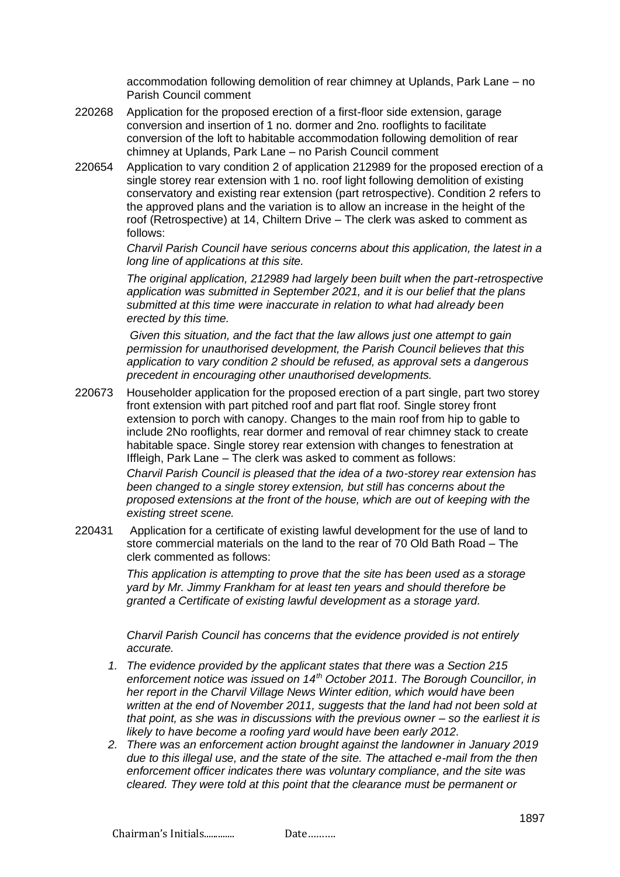accommodation following demolition of rear chimney at Uplands, Park Lane – no Parish Council comment

- 220268 Application for the proposed erection of a first-floor side extension, garage conversion and insertion of 1 no. dormer and 2no. rooflights to facilitate conversion of the loft to habitable accommodation following demolition of rear chimney at Uplands, Park Lane – no Parish Council comment
- 220654 Application to vary condition 2 of application 212989 for the proposed erection of a single storey rear extension with 1 no. roof light following demolition of existing conservatory and existing rear extension (part retrospective). Condition 2 refers to the approved plans and the variation is to allow an increase in the height of the roof (Retrospective) at 14, Chiltern Drive – The clerk was asked to comment as follows:

*Charvil Parish Council have serious concerns about this application, the latest in a long line of applications at this site.*

*The original application, 212989 had largely been built when the part-retrospective application was submitted in September 2021, and it is our belief that the plans submitted at this time were inaccurate in relation to what had already been erected by this time.*

*Given this situation, and the fact that the law allows just one attempt to gain permission for unauthorised development, the Parish Council believes that this application to vary condition 2 should be refused, as approval sets a dangerous precedent in encouraging other unauthorised developments.*

220673 Householder application for the proposed erection of a part single, part two storey front extension with part pitched roof and part flat roof. Single storey front extension to porch with canopy. Changes to the main roof from hip to gable to include 2No rooflights, rear dormer and removal of rear chimney stack to create habitable space. Single storey rear extension with changes to fenestration at Iffleigh, Park Lane – The clerk was asked to comment as follows:

> *Charvil Parish Council is pleased that the idea of a two-storey rear extension has been changed to a single storey extension, but still has concerns about the proposed extensions at the front of the house, which are out of keeping with the existing street scene.*

220431 Application for a certificate of existing lawful development for the use of land to store commercial materials on the land to the rear of 70 Old Bath Road – The clerk commented as follows:

> *This application is attempting to prove that the site has been used as a storage yard by Mr. Jimmy Frankham for at least ten years and should therefore be granted a Certificate of existing lawful development as a storage yard.*

*Charvil Parish Council has concerns that the evidence provided is not entirely accurate.*

- *1. The evidence provided by the applicant states that there was a Section 215 enforcement notice was issued on 14th October 2011. The Borough Councillor, in her report in the Charvil Village News Winter edition, which would have been written at the end of November 2011, suggests that the land had not been sold at that point, as she was in discussions with the previous owner – so the earliest it is likely to have become a roofing yard would have been early 2012.*
- *2. There was an enforcement action brought against the landowner in January 2019 due to this illegal use, and the state of the site. The attached e-mail from the then enforcement officer indicates there was voluntary compliance, and the site was cleared. They were told at this point that the clearance must be permanent or*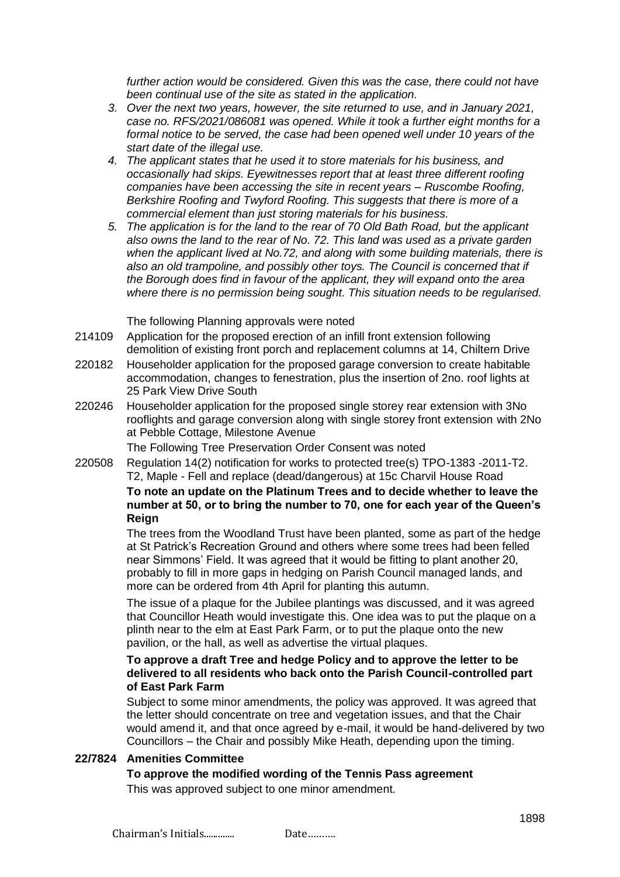further action would be considered. Given this was the case, there could not have *been continual use of the site as stated in the application.*

- *3. Over the next two years, however, the site returned to use, and in January 2021, case no. RFS/2021/086081 was opened. While it took a further eight months for a formal notice to be served, the case had been opened well under 10 years of the start date of the illegal use.*
- *4. The applicant states that he used it to store materials for his business, and occasionally had skips. Eyewitnesses report that at least three different roofing companies have been accessing the site in recent years – Ruscombe Roofing, Berkshire Roofing and Twyford Roofing. This suggests that there is more of a commercial element than just storing materials for his business.*
- *5. The application is for the land to the rear of 70 Old Bath Road, but the applicant also owns the land to the rear of No. 72. This land was used as a private garden when the applicant lived at No.72, and along with some building materials, there is*  also an old trampoline, and possibly other toys. The Council is concerned that if *the Borough does find in favour of the applicant, they will expand onto the area where there is no permission being sought. This situation needs to be regularised.*

The following Planning approvals were noted

- 214109 Application for the proposed erection of an infill front extension following demolition of existing front porch and replacement columns at 14, Chiltern Drive
- 220182 Householder application for the proposed garage conversion to create habitable accommodation, changes to fenestration, plus the insertion of 2no. roof lights at 25 Park View Drive South
- 220246 Householder application for the proposed single storey rear extension with 3No rooflights and garage conversion along with single storey front extension with 2No at Pebble Cottage, Milestone Avenue

The Following Tree Preservation Order Consent was noted

220508 Regulation 14(2) notification for works to protected tree(s) TPO-1383 -2011-T2. T2, Maple - Fell and replace (dead/dangerous) at 15c Charvil House Road **To note an update on the Platinum Trees and to decide whether to leave the number at 50, or to bring the number to 70, one for each year of the Queen's Reign**

> The trees from the Woodland Trust have been planted, some as part of the hedge at St Patrick's Recreation Ground and others where some trees had been felled near Simmons' Field. It was agreed that it would be fitting to plant another 20, probably to fill in more gaps in hedging on Parish Council managed lands, and more can be ordered from 4th April for planting this autumn.

The issue of a plaque for the Jubilee plantings was discussed, and it was agreed that Councillor Heath would investigate this. One idea was to put the plaque on a plinth near to the elm at East Park Farm, or to put the plaque onto the new pavilion, or the hall, as well as advertise the virtual plaques.

#### **To approve a draft Tree and hedge Policy and to approve the letter to be delivered to all residents who back onto the Parish Council-controlled part of East Park Farm**

Subject to some minor amendments, the policy was approved. It was agreed that the letter should concentrate on tree and vegetation issues, and that the Chair would amend it, and that once agreed by e-mail, it would be hand-delivered by two Councillors – the Chair and possibly Mike Heath, depending upon the timing.

### **22/7824 Amenities Committee**

## **To approve the modified wording of the Tennis Pass agreement**

This was approved subject to one minor amendment.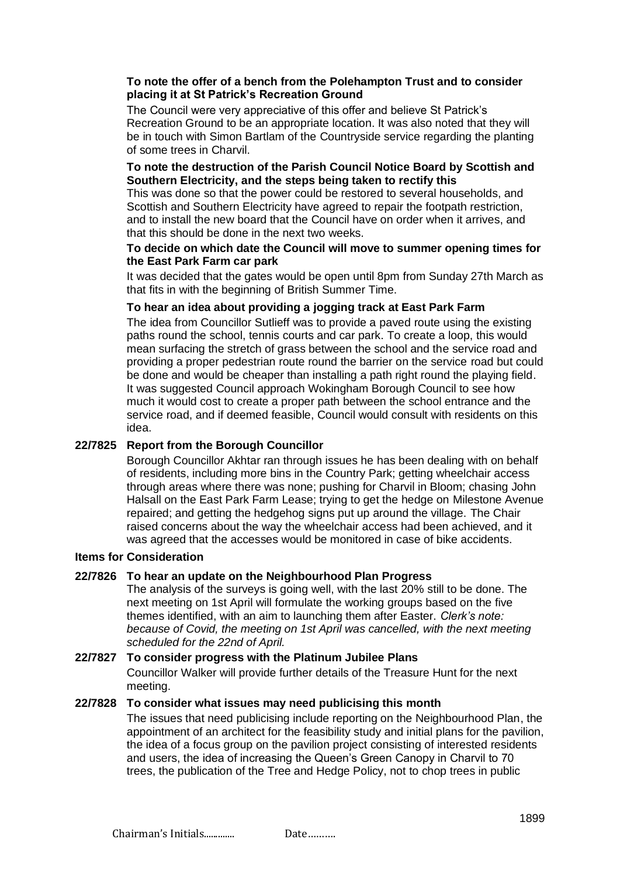#### **To note the offer of a bench from the Polehampton Trust and to consider placing it at St Patrick's Recreation Ground**

The Council were very appreciative of this offer and believe St Patrick's Recreation Ground to be an appropriate location. It was also noted that they will be in touch with Simon Bartlam of the Countryside service regarding the planting of some trees in Charvil.

#### **To note the destruction of the Parish Council Notice Board by Scottish and Southern Electricity, and the steps being taken to rectify this**

This was done so that the power could be restored to several households, and Scottish and Southern Electricity have agreed to repair the footpath restriction, and to install the new board that the Council have on order when it arrives, and that this should be done in the next two weeks.

#### **To decide on which date the Council will move to summer opening times for the East Park Farm car park**

It was decided that the gates would be open until 8pm from Sunday 27th March as that fits in with the beginning of British Summer Time.

### **To hear an idea about providing a jogging track at East Park Farm**

The idea from Councillor Sutlieff was to provide a paved route using the existing paths round the school, tennis courts and car park. To create a loop, this would mean surfacing the stretch of grass between the school and the service road and providing a proper pedestrian route round the barrier on the service road but could be done and would be cheaper than installing a path right round the playing field. It was suggested Council approach Wokingham Borough Council to see how much it would cost to create a proper path between the school entrance and the service road, and if deemed feasible, Council would consult with residents on this idea.

#### **22/7825 Report from the Borough Councillor**

Borough Councillor Akhtar ran through issues he has been dealing with on behalf of residents, including more bins in the Country Park; getting wheelchair access through areas where there was none; pushing for Charvil in Bloom; chasing John Halsall on the East Park Farm Lease; trying to get the hedge on Milestone Avenue repaired; and getting the hedgehog signs put up around the village. The Chair raised concerns about the way the wheelchair access had been achieved, and it was agreed that the accesses would be monitored in case of bike accidents.

#### **Items for Consideration**

#### **22/7826 To hear an update on the Neighbourhood Plan Progress**

The analysis of the surveys is going well, with the last 20% still to be done. The next meeting on 1st April will formulate the working groups based on the five themes identified, with an aim to launching them after Easter. *Clerk's note: because of Covid, the meeting on 1st April was cancelled, with the next meeting scheduled for the 22nd of April.*

## **22/7827 To consider progress with the Platinum Jubilee Plans** Councillor Walker will provide further details of the Treasure Hunt for the next meeting.

#### **22/7828 To consider what issues may need publicising this month**

The issues that need publicising include reporting on the Neighbourhood Plan, the appointment of an architect for the feasibility study and initial plans for the pavilion, the idea of a focus group on the pavilion project consisting of interested residents and users, the idea of increasing the Queen's Green Canopy in Charvil to 70 trees, the publication of the Tree and Hedge Policy, not to chop trees in public